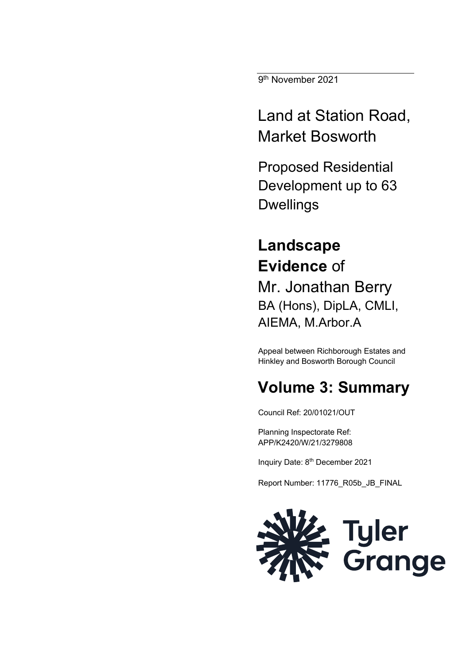9<sup>th</sup> November 2021

Land at Station Road, Market Bosworth

Proposed Residential Development up to 63 Dwellings

# **Landscape Evidence** of

Mr. Jonathan Berry BA (Hons), DipLA, CMLI, AIEMA, M.Arbor.A

Appeal between Richborough Estates and Hinkley and Bosworth Borough Council

## **Volume 3: Summary**

Council Ref: 20/01021/OUT

Planning Inspectorate Ref: APP/K2420/W/21/3279808

Inquiry Date: 8<sup>th</sup> December 2021

Report Number: 11776\_R05b\_JB\_FINAL

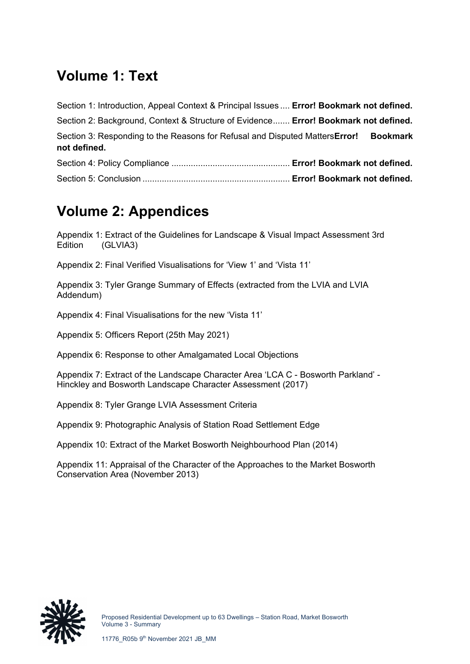#### **Volume 1: Text**

| Section 1: Introduction, Appeal Context & Principal Issues  Error! Bookmark not defined.              |  |
|-------------------------------------------------------------------------------------------------------|--|
| Section 2: Background, Context & Structure of Evidence Error! Bookmark not defined.                   |  |
| Section 3: Responding to the Reasons for Refusal and Disputed Matters Error! Bookmark<br>not defined. |  |
|                                                                                                       |  |
|                                                                                                       |  |

### **Volume 2: Appendices**

Appendix 1: Extract of the Guidelines for Landscape & Visual Impact Assessment 3rd Edition (GLVIA3)

Appendix 2: Final Verified Visualisations for 'View 1' and 'Vista 11'

Appendix 3: Tyler Grange Summary of Effects (extracted from the LVIA and LVIA Addendum)

Appendix 4: Final Visualisations for the new 'Vista 11'

Appendix 5: Officers Report (25th May 2021)

Appendix 6: Response to other Amalgamated Local Objections

Appendix 7: Extract of the Landscape Character Area 'LCA C - Bosworth Parkland' - Hinckley and Bosworth Landscape Character Assessment (2017)

Appendix 8: Tyler Grange LVIA Assessment Criteria

Appendix 9: Photographic Analysis of Station Road Settlement Edge

Appendix 10: Extract of the Market Bosworth Neighbourhood Plan (2014)

Appendix 11: Appraisal of the Character of the Approaches to the Market Bosworth Conservation Area (November 2013)

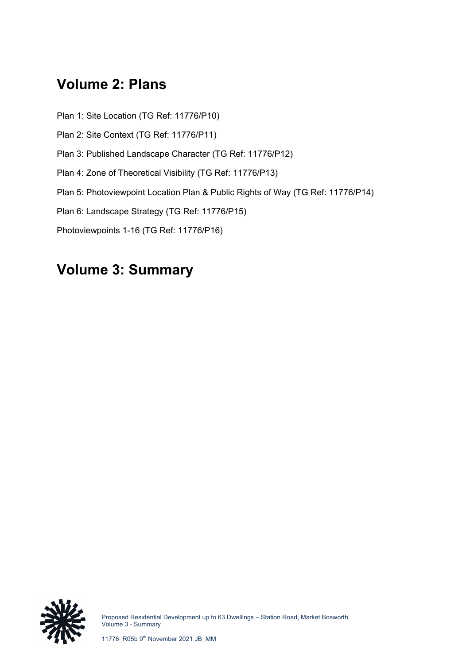#### **Volume 2: Plans**

- Plan 1: Site Location (TG Ref: 11776/P10)
- Plan 2: Site Context (TG Ref: 11776/P11)
- Plan 3: Published Landscape Character (TG Ref: 11776/P12)
- Plan 4: Zone of Theoretical Visibility (TG Ref: 11776/P13)
- Plan 5: Photoviewpoint Location Plan & Public Rights of Way (TG Ref: 11776/P14)
- Plan 6: Landscape Strategy (TG Ref: 11776/P15)
- Photoviewpoints 1-16 (TG Ref: 11776/P16)

#### **Volume 3: Summary**



Proposed Residential Development up to 63 Dwellings – Station Road, Market Bosworth Volume 3 - Summary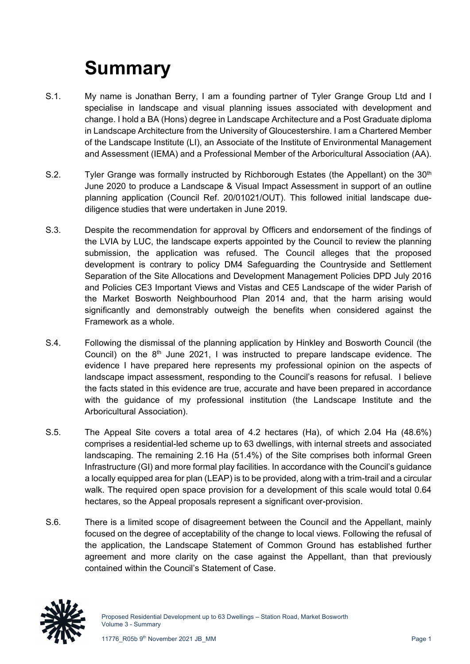# **Summary**

- S.1. My name is Jonathan Berry, I am a founding partner of Tyler Grange Group Ltd and I specialise in landscape and visual planning issues associated with development and change. I hold a BA (Hons) degree in Landscape Architecture and a Post Graduate diploma in Landscape Architecture from the University of Gloucestershire. I am a Chartered Member of the Landscape Institute (LI), an Associate of the Institute of Environmental Management and Assessment (IEMA) and a Professional Member of the Arboricultural Association (AA).
- S.2. Tyler Grange was formally instructed by Richborough Estates (the Appellant) on the 30<sup>th</sup> June 2020 to produce a Landscape & Visual Impact Assessment in support of an outline planning application (Council Ref. 20/01021/OUT). This followed initial landscape duediligence studies that were undertaken in June 2019.
- S.3. Despite the recommendation for approval by Officers and endorsement of the findings of the LVIA by LUC, the landscape experts appointed by the Council to review the planning submission, the application was refused. The Council alleges that the proposed development is contrary to policy DM4 Safeguarding the Countryside and Settlement Separation of the Site Allocations and Development Management Policies DPD July 2016 and Policies CE3 Important Views and Vistas and CE5 Landscape of the wider Parish of the Market Bosworth Neighbourhood Plan 2014 and, that the harm arising would significantly and demonstrably outweigh the benefits when considered against the Framework as a whole.
- S.4. Following the dismissal of the planning application by Hinkley and Bosworth Council (the Council) on the  $8<sup>th</sup>$  June 2021, I was instructed to prepare landscape evidence. The evidence I have prepared here represents my professional opinion on the aspects of landscape impact assessment, responding to the Council's reasons for refusal. I believe the facts stated in this evidence are true, accurate and have been prepared in accordance with the guidance of my professional institution (the Landscape Institute and the Arboricultural Association).
- S.5. The Appeal Site covers a total area of 4.2 hectares (Ha), of which 2.04 Ha (48.6%) comprises a residential-led scheme up to 63 dwellings, with internal streets and associated landscaping. The remaining 2.16 Ha (51.4%) of the Site comprises both informal Green Infrastructure (GI) and more formal play facilities. In accordance with the Council's guidance a locally equipped area for plan (LEAP) is to be provided, along with a trim-trail and a circular walk. The required open space provision for a development of this scale would total 0.64 hectares, so the Appeal proposals represent a significant over-provision.
- S.6. There is a limited scope of disagreement between the Council and the Appellant, mainly focused on the degree of acceptability of the change to local views. Following the refusal of the application, the Landscape Statement of Common Ground has established further agreement and more clarity on the case against the Appellant, than that previously contained within the Council's Statement of Case.

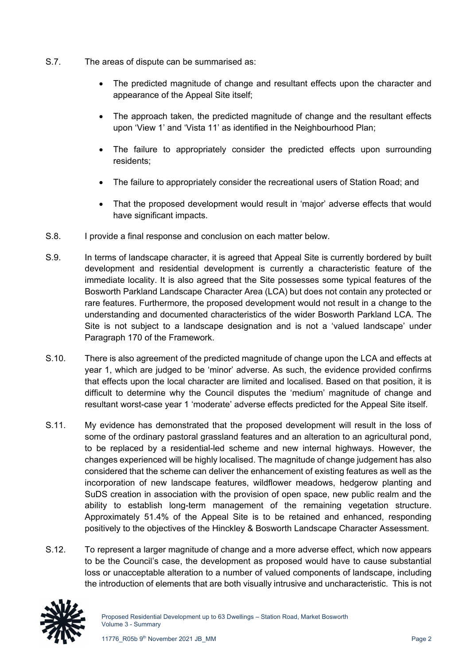- S.7. The areas of dispute can be summarised as:
	- The predicted magnitude of change and resultant effects upon the character and appearance of the Appeal Site itself;
	- The approach taken, the predicted magnitude of change and the resultant effects upon 'View 1' and 'Vista 11' as identified in the Neighbourhood Plan;
	- The failure to appropriately consider the predicted effects upon surrounding residents;
	- The failure to appropriately consider the recreational users of Station Road; and
	- That the proposed development would result in 'major' adverse effects that would have significant impacts.
- S.8. I provide a final response and conclusion on each matter below.
- S.9. In terms of landscape character, it is agreed that Appeal Site is currently bordered by built development and residential development is currently a characteristic feature of the immediate locality. It is also agreed that the Site possesses some typical features of the Bosworth Parkland Landscape Character Area (LCA) but does not contain any protected or rare features. Furthermore, the proposed development would not result in a change to the understanding and documented characteristics of the wider Bosworth Parkland LCA. The Site is not subject to a landscape designation and is not a 'valued landscape' under Paragraph 170 of the Framework.
- S.10. There is also agreement of the predicted magnitude of change upon the LCA and effects at year 1, which are judged to be 'minor' adverse. As such, the evidence provided confirms that effects upon the local character are limited and localised. Based on that position, it is difficult to determine why the Council disputes the 'medium' magnitude of change and resultant worst-case year 1 'moderate' adverse effects predicted for the Appeal Site itself.
- S.11. My evidence has demonstrated that the proposed development will result in the loss of some of the ordinary pastoral grassland features and an alteration to an agricultural pond, to be replaced by a residential-led scheme and new internal highways. However, the changes experienced will be highly localised. The magnitude of change judgement has also considered that the scheme can deliver the enhancement of existing features as well as the incorporation of new landscape features, wildflower meadows, hedgerow planting and SuDS creation in association with the provision of open space, new public realm and the ability to establish long-term management of the remaining vegetation structure. Approximately 51.4% of the Appeal Site is to be retained and enhanced, responding positively to the objectives of the Hinckley & Bosworth Landscape Character Assessment.
- S.12. To represent a larger magnitude of change and a more adverse effect, which now appears to be the Council's case, the development as proposed would have to cause substantial loss or unacceptable alteration to a number of valued components of landscape, including the introduction of elements that are both visually intrusive and uncharacteristic. This is not

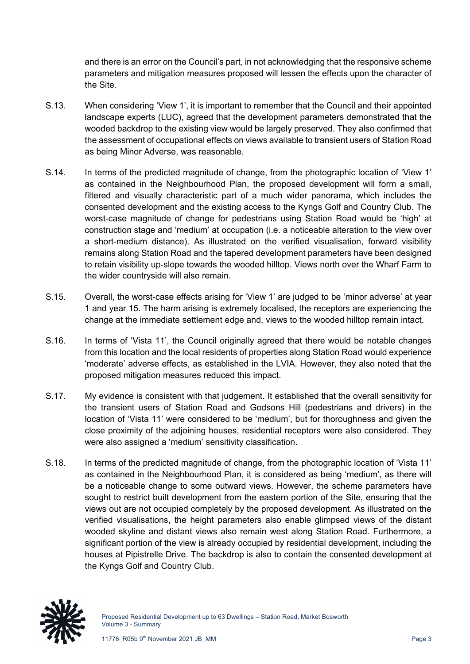and there is an error on the Council's part, in not acknowledging that the responsive scheme parameters and mitigation measures proposed will lessen the effects upon the character of the Site.

- S.13. When considering 'View 1', it is important to remember that the Council and their appointed landscape experts (LUC), agreed that the development parameters demonstrated that the wooded backdrop to the existing view would be largely preserved. They also confirmed that the assessment of occupational effects on views available to transient users of Station Road as being Minor Adverse, was reasonable.
- S.14. In terms of the predicted magnitude of change, from the photographic location of 'View 1' as contained in the Neighbourhood Plan, the proposed development will form a small, filtered and visually characteristic part of a much wider panorama, which includes the consented development and the existing access to the Kyngs Golf and Country Club. The worst-case magnitude of change for pedestrians using Station Road would be 'high' at construction stage and 'medium' at occupation (i.e. a noticeable alteration to the view over a short-medium distance). As illustrated on the verified visualisation, forward visibility remains along Station Road and the tapered development parameters have been designed to retain visibility up-slope towards the wooded hilltop. Views north over the Wharf Farm to the wider countryside will also remain.
- S.15. Overall, the worst-case effects arising for 'View 1' are judged to be 'minor adverse' at year 1 and year 15. The harm arising is extremely localised, the receptors are experiencing the change at the immediate settlement edge and, views to the wooded hilltop remain intact.
- S.16. In terms of 'Vista 11', the Council originally agreed that there would be notable changes from this location and the local residents of properties along Station Road would experience 'moderate' adverse effects, as established in the LVIA. However, they also noted that the proposed mitigation measures reduced this impact.
- S.17. My evidence is consistent with that judgement. It established that the overall sensitivity for the transient users of Station Road and Godsons Hill (pedestrians and drivers) in the location of 'Vista 11' were considered to be 'medium', but for thoroughness and given the close proximity of the adjoining houses, residential receptors were also considered. They were also assigned a 'medium' sensitivity classification.
- S.18. In terms of the predicted magnitude of change, from the photographic location of 'Vista 11' as contained in the Neighbourhood Plan, it is considered as being 'medium', as there will be a noticeable change to some outward views. However, the scheme parameters have sought to restrict built development from the eastern portion of the Site, ensuring that the views out are not occupied completely by the proposed development. As illustrated on the verified visualisations, the height parameters also enable glimpsed views of the distant wooded skyline and distant views also remain west along Station Road. Furthermore, a significant portion of the view is already occupied by residential development, including the houses at Pipistrelle Drive. The backdrop is also to contain the consented development at the Kyngs Golf and Country Club.

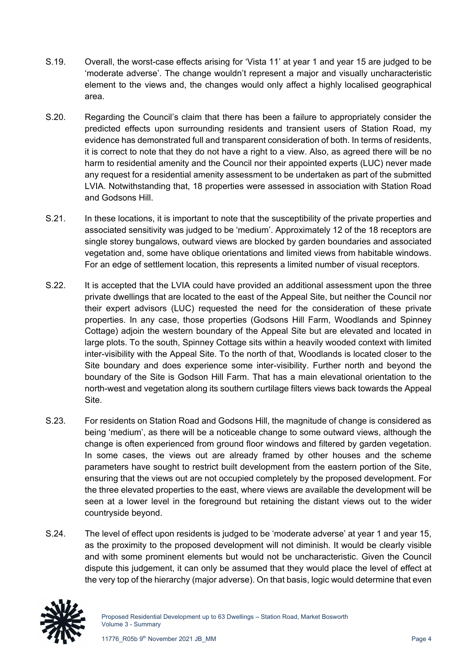- S.19. Overall, the worst-case effects arising for 'Vista 11' at year 1 and year 15 are judged to be 'moderate adverse'. The change wouldn't represent a major and visually uncharacteristic element to the views and, the changes would only affect a highly localised geographical area.
- S.20. Regarding the Council's claim that there has been a failure to appropriately consider the predicted effects upon surrounding residents and transient users of Station Road, my evidence has demonstrated full and transparent consideration of both. In terms of residents, it is correct to note that they do not have a right to a view. Also, as agreed there will be no harm to residential amenity and the Council nor their appointed experts (LUC) never made any request for a residential amenity assessment to be undertaken as part of the submitted LVIA. Notwithstanding that, 18 properties were assessed in association with Station Road and Godsons Hill.
- S.21. In these locations, it is important to note that the susceptibility of the private properties and associated sensitivity was judged to be 'medium'. Approximately 12 of the 18 receptors are single storey bungalows, outward views are blocked by garden boundaries and associated vegetation and, some have oblique orientations and limited views from habitable windows. For an edge of settlement location, this represents a limited number of visual receptors.
- S.22. It is accepted that the LVIA could have provided an additional assessment upon the three private dwellings that are located to the east of the Appeal Site, but neither the Council nor their expert advisors (LUC) requested the need for the consideration of these private properties. In any case, those properties (Godsons Hill Farm, Woodlands and Spinney Cottage) adjoin the western boundary of the Appeal Site but are elevated and located in large plots. To the south, Spinney Cottage sits within a heavily wooded context with limited inter-visibility with the Appeal Site. To the north of that, Woodlands is located closer to the Site boundary and does experience some inter-visibility. Further north and beyond the boundary of the Site is Godson Hill Farm. That has a main elevational orientation to the north-west and vegetation along its southern curtilage filters views back towards the Appeal Site.
- S.23. For residents on Station Road and Godsons Hill, the magnitude of change is considered as being 'medium', as there will be a noticeable change to some outward views, although the change is often experienced from ground floor windows and filtered by garden vegetation. In some cases, the views out are already framed by other houses and the scheme parameters have sought to restrict built development from the eastern portion of the Site, ensuring that the views out are not occupied completely by the proposed development. For the three elevated properties to the east, where views are available the development will be seen at a lower level in the foreground but retaining the distant views out to the wider countryside beyond.
- S.24. The level of effect upon residents is judged to be 'moderate adverse' at year 1 and year 15, as the proximity to the proposed development will not diminish. It would be clearly visible and with some prominent elements but would not be uncharacteristic. Given the Council dispute this judgement, it can only be assumed that they would place the level of effect at the very top of the hierarchy (major adverse). On that basis, logic would determine that even

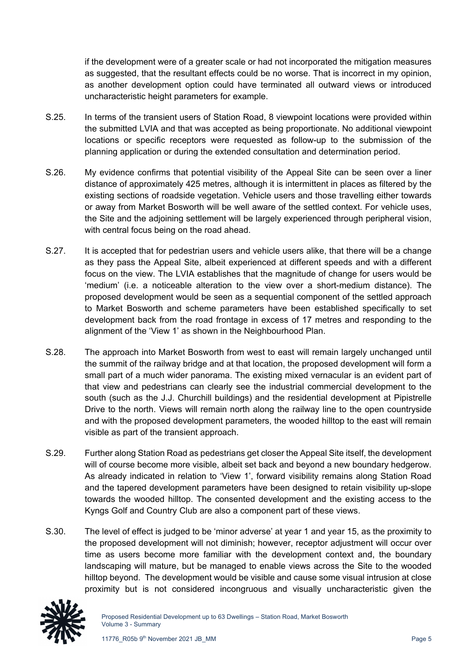if the development were of a greater scale or had not incorporated the mitigation measures as suggested, that the resultant effects could be no worse. That is incorrect in my opinion, as another development option could have terminated all outward views or introduced uncharacteristic height parameters for example.

- S.25. In terms of the transient users of Station Road, 8 viewpoint locations were provided within the submitted LVIA and that was accepted as being proportionate. No additional viewpoint locations or specific receptors were requested as follow-up to the submission of the planning application or during the extended consultation and determination period.
- S.26. My evidence confirms that potential visibility of the Appeal Site can be seen over a liner distance of approximately 425 metres, although it is intermittent in places as filtered by the existing sections of roadside vegetation. Vehicle users and those travelling either towards or away from Market Bosworth will be well aware of the settled context. For vehicle uses, the Site and the adjoining settlement will be largely experienced through peripheral vision, with central focus being on the road ahead.
- S.27. It is accepted that for pedestrian users and vehicle users alike, that there will be a change as they pass the Appeal Site, albeit experienced at different speeds and with a different focus on the view. The LVIA establishes that the magnitude of change for users would be 'medium' (i.e. a noticeable alteration to the view over a short-medium distance). The proposed development would be seen as a sequential component of the settled approach to Market Bosworth and scheme parameters have been established specifically to set development back from the road frontage in excess of 17 metres and responding to the alignment of the 'View 1' as shown in the Neighbourhood Plan.
- S.28. The approach into Market Bosworth from west to east will remain largely unchanged until the summit of the railway bridge and at that location, the proposed development will form a small part of a much wider panorama. The existing mixed vernacular is an evident part of that view and pedestrians can clearly see the industrial commercial development to the south (such as the J.J. Churchill buildings) and the residential development at Pipistrelle Drive to the north. Views will remain north along the railway line to the open countryside and with the proposed development parameters, the wooded hilltop to the east will remain visible as part of the transient approach.
- S.29. Further along Station Road as pedestrians get closer the Appeal Site itself, the development will of course become more visible, albeit set back and beyond a new boundary hedgerow. As already indicated in relation to 'View 1', forward visibility remains along Station Road and the tapered development parameters have been designed to retain visibility up-slope towards the wooded hilltop. The consented development and the existing access to the Kyngs Golf and Country Club are also a component part of these views.
- S.30. The level of effect is judged to be 'minor adverse' at year 1 and year 15, as the proximity to the proposed development will not diminish; however, receptor adjustment will occur over time as users become more familiar with the development context and, the boundary landscaping will mature, but be managed to enable views across the Site to the wooded hilltop beyond. The development would be visible and cause some visual intrusion at close proximity but is not considered incongruous and visually uncharacteristic given the

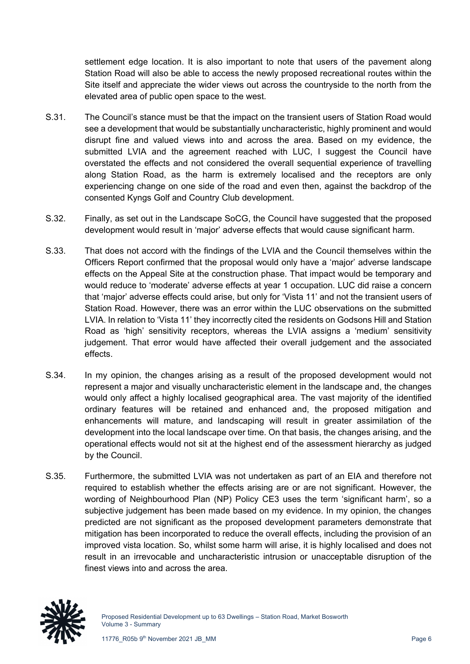settlement edge location. It is also important to note that users of the pavement along Station Road will also be able to access the newly proposed recreational routes within the Site itself and appreciate the wider views out across the countryside to the north from the elevated area of public open space to the west.

- S.31. The Council's stance must be that the impact on the transient users of Station Road would see a development that would be substantially uncharacteristic, highly prominent and would disrupt fine and valued views into and across the area. Based on my evidence, the submitted LVIA and the agreement reached with LUC, I suggest the Council have overstated the effects and not considered the overall sequential experience of travelling along Station Road, as the harm is extremely localised and the receptors are only experiencing change on one side of the road and even then, against the backdrop of the consented Kyngs Golf and Country Club development.
- S.32. Finally, as set out in the Landscape SoCG, the Council have suggested that the proposed development would result in 'major' adverse effects that would cause significant harm.
- S.33. That does not accord with the findings of the LVIA and the Council themselves within the Officers Report confirmed that the proposal would only have a 'major' adverse landscape effects on the Appeal Site at the construction phase. That impact would be temporary and would reduce to 'moderate' adverse effects at year 1 occupation. LUC did raise a concern that 'major' adverse effects could arise, but only for 'Vista 11' and not the transient users of Station Road. However, there was an error within the LUC observations on the submitted LVIA. In relation to 'Vista 11' they incorrectly cited the residents on Godsons Hill and Station Road as 'high' sensitivity receptors, whereas the LVIA assigns a 'medium' sensitivity judgement. That error would have affected their overall judgement and the associated effects.
- S.34. In my opinion, the changes arising as a result of the proposed development would not represent a major and visually uncharacteristic element in the landscape and, the changes would only affect a highly localised geographical area. The vast majority of the identified ordinary features will be retained and enhanced and, the proposed mitigation and enhancements will mature, and landscaping will result in greater assimilation of the development into the local landscape over time. On that basis, the changes arising, and the operational effects would not sit at the highest end of the assessment hierarchy as judged by the Council.
- S.35. Furthermore, the submitted LVIA was not undertaken as part of an EIA and therefore not required to establish whether the effects arising are or are not significant. However, the wording of Neighbourhood Plan (NP) Policy CE3 uses the term 'significant harm', so a subjective judgement has been made based on my evidence. In my opinion, the changes predicted are not significant as the proposed development parameters demonstrate that mitigation has been incorporated to reduce the overall effects, including the provision of an improved vista location. So, whilst some harm will arise, it is highly localised and does not result in an irrevocable and uncharacteristic intrusion or unacceptable disruption of the finest views into and across the area.